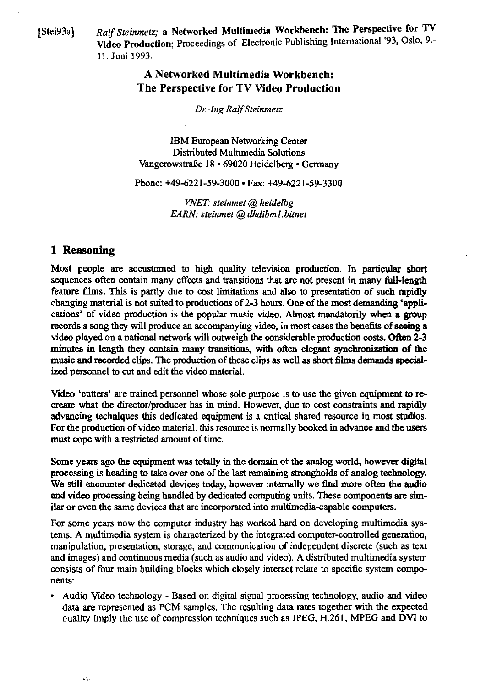[Stei93a] *Ra'f Steinmetz;* a Networked Multimedia Workbench: The Perspective **for** TV Video Production; Proceedings of Electronic Puhlishing lnternational '93, Oslo, 9.- 11. Juni 1993.

# **A Networked Multimedia Workbench: The Perspective for TV Video Production**

*Dr.-Ing Ralf Steinmetz* 

**IBM** European Networking Center Distributed Multimedia Solutions Vangerowstraße 18 · 69020 Heidelberg · Germany

Phone: +49-6221-59-3000 • Fax: +49-6221-59-3300

*WET: steinmet* @ *heidelbg EARN: steinmet* @ *dhdibm1.bimet* 

# **1 Reasoning**

 $\mathbf{a}^{\prime}\mathbf{a}$ 

Most people are accustomed to high quality television production. In particular short sequences often contain many effects and transitions that are not present in many full-length feature films. **This** is partly due to cost limitations and also to presentation of such rapidiy changing material is not suited to productions of 2-3 hours. One of the most demanding 'applications' of video production is the popular music video. Almost mandatorily when a group records a song they will produce an accompanying video, in most cases the benefits of seeing a video played on a national network will outweigh the considerable production costs. Often 2-3 minutes in length they contain many transitions, with often elegant synchronization of the music and recorded clips. The production of these clips as well as short films demands specialized personnel to cut and edit the video material.

Video **'cutten'** are trained pasonnel whose sole purpose is **to** use the given equipment **to** recreate what the director/producer has in mind. However, due to cost constraints and rapidly advancing techniques this dedicated equipment is a critical shared resource in most studios. For the production of video material, this resource is normally booked in advance and the users must cope with a restricted amount of time.

Some years ago the equipment was totally in the domain of the analog world, however digital processing is heading **to** take over one of the last remaining strongholds of analog technology. We still encounter dedicated devices today, however internally we find more often the audio and video processing being handled by dedicated computing units. These cornponents **are** similar or even the same devices that are incorporated into multimedia-capable computers.

For some years now the computer industry has worked hard on developing multimedia systems. A multimedia system is characterized by the integrated computer-controlled genemtion, manipulation, presentation, Storage, and communication of independent discrete (such as text and images) and continuous media (such as audio and video). A distributed multimedia system consists of four main building blocks which closely interact relate to specific system components:

Audio Video technology - Based on digital signal processing technology, audio and video data are represented as PCM sarnples. The resulting **data** rates together with the expected quality imply the use of compression techniques such as **JPEG,** H.261, MPEG and **DVI** to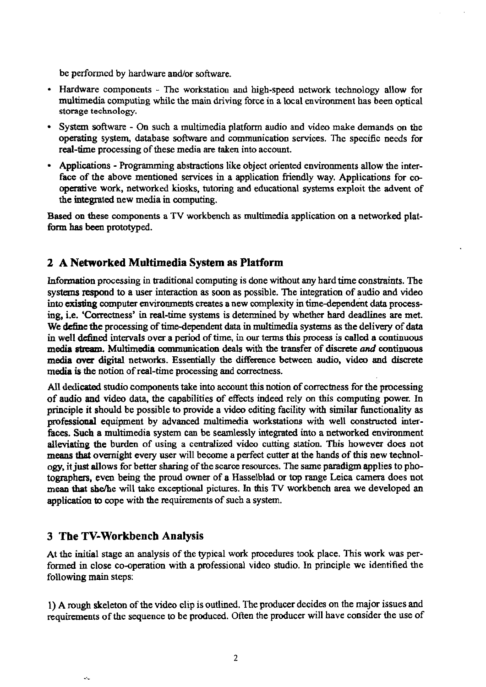be performed by hardware and/or software.

- Hardware components Thc workstation and high-speed network technology allow for multimedia computing while the main driving force in a local environment has been optical storage technology.
- System software On such a multimedia platfom audio and video make demands on the operating system, database software and communication services. The specific needs for real-time processing of these media **are** taken into account.
- Applications Programming abstractions like object oriented environments allow the interface of the above mentioned services in a application friendly way. Applications for cooperative work, networked kiosks, tutoring and educational systems exploit the advent of the integrated new media in computing.

Based on these components a TV workbench as multimedia application on a networked platfonn **has** been prototyped.

### **2 A Networked Multimedia System as Platform**

Information processing in traditional computing is done without any hard time constraints. The systems respond to a user interaction as soon as possible. The integration of audio and video into **existing** computer environments creates a new complexity in time-dependent data processing, i.e. 'Correctness' in real-time systems is detemined by whether **hard** deadünes are met. We dcfine the processing of time-dependent data in multimedia systems **as** the delivery of data in well defined intervals over a period of time, in our terms this process is called a continuous media stream. Multimedia communication deals with the transfer of discrete and continuous media **ovcr** digital networks. Essentiaily the differente between audio, video and discrete media is the notion of real-time processing and correctness.

All dedicated studio components take into account this notion of coneciness for the processing of audio **and** video data, the capabilities of effects indeed rely on this computing power. In pnnciple it shouid be possible to provide a video editing facility with similar functionality **as**  professional equipment by advanced multimedia workstations with well constructed interfaces. Such a multimedia system can be seamlessly integrated into a networked environment alleviating the burden of using a centralized video cutting station. **This** however does not **means that** overnight every user will become a perfect cutter at the hands of this new technology, it just allows for better sharing of the scarce resources. The same paradigm applies to photographas, even being the proud owner of a Hasselblad or top range Leica **carnera** does not mean that she/he will take exceptional pictures. In this TV workbench area we developed an appiication **to** cope with the requirements of such a system.

#### **3 The TV-Workbench Analysis**

At the initial stage an analysis of the typical work procedures took place. This work was performed in close CO-operation with a professional video studio. In principle we identified the following main steps:

1) A rough skeleton of the video clip is outlined. The producer decides on the major issues and requirements of the sequence **to** be produced. Often the producer will have consider the use of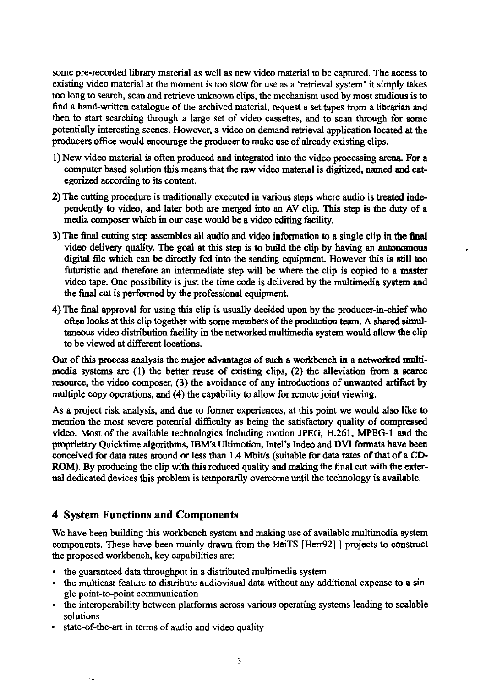some pre-recorded library material as well as new video material tobe captured. The access **to**  existing video material at the moment is **too** slow for use as a 'retrieval system' it simply takes too long to search, scan and retrieve unknown clips, the mechanism used by most studious is **to**  fhd a hand-written catalogue of the archived material, request a set tapes from a librarian and then to start searching through a large set of video cassettes, and to scan through for some potentially interesting scenes. However, a video on demand retrieval application located at the producers office would encourage the producer **to** make use of already existing clips.

- 1)New video material is often produced and integrated into the video processing **arena** For a Computer based solution this means that the raw video material is digitized, named **and** categorized according **to** its cantent.
- 2) The cutting procedure is traditionally executed in various steps where audio is treated inda pendently **to** video, and later both are merged **into** an AV clip. This step is the duty of a media Composer which in our case wouid be a video editing facility.
- The final cutting step assembles ail audio and video infonnation **to** a single clip in **the** 6nai video delivery quality. The goal at this step is **to** build the clip by having an autormmous digital file which can be directly fed into the sending equipment. However this is still too futuristic and therefore an intermediate step will be where the clip is copied **to** a **master**  video tape. One possibility is just the time code is delivered by the multimedia system and the final cut is performed by the professional equipment.
- 4) The final approval for using this clip is usuaily decided upon by the producer-in-chief who often looks at this clip together with some members of the production team. A shared simultaneous video distribution facility in the networked muitimedia system wouid ailow the clip **to** be viewed at different locations.

Out of this process analysis the major advantages of such a workbench in a networked multi**media** systans **are** (1) the better reuse of existing clips, (2) the aileviation from a **scarce**  resource, the video composer, (3) the avoidance of any introductions of unwanted artifact by multiple copy operations, and (4) the capability to allow for remote joint viewing.

As a project risk analysis, and due to former experiences, at this point we would also like to mention the most severe potential difficulty as being the satisfactory quality of **compressed**  video. Most of the available technologies including motion **JF'EG,** H.261, **MPEG-1** md the **Metary** Quicktime aigorithms, IBM's Ultimotion, Intel's Indeo and **DVI** fonnats have **bem**  conceived for data rates aromd or less **than** 1.4 Mbitls (suitable for data rates of that of a **CD-**ROM). By producing the clip with this reduced quality and making the final cut with the external dedicated devices this problem is temporarily overcome until the technology is available.

## **4 System Functions and Components**

We have been building this workbench system and making use of available multimedia system components. These have been mainly drawn from the HeiTS [Herr92] ] projects to construct the proposed workbench, key capabilities are:

- the guaranteed data throughput in a distributed multimedia system
- the multicast feature to distribute audiovisual **daia** without any additional expense to a single point-to-point communication
- the interoperability between platforms across various operating systems leading to scalable solutions
- state-of-the-art in tems of audio and video quality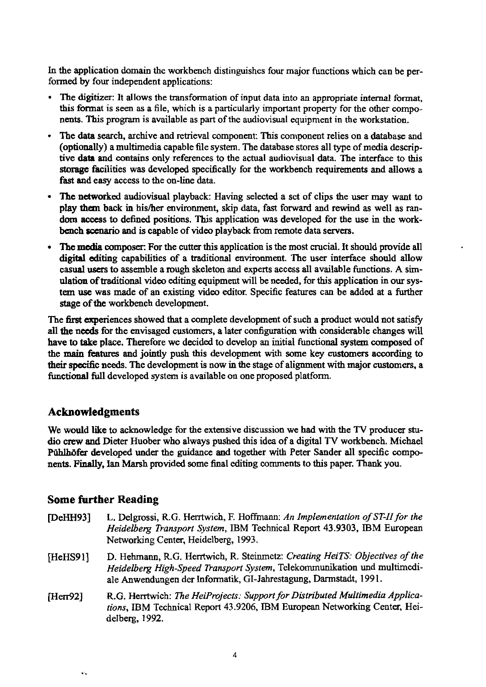In the application domain the workbench distinguishes four major functions which can be performed **by** four independent applications:

- The digitizer: It allows the transformation of input data into an appropriate internal format,  $\bullet$ this format is seen as a file, which is a particularly important property for the other components. This program is available as part of the audiovisual equipment in tbe workstation.
- The data search, archive and retrieval component: This component relies on a database and (optionally) a multimedia capable file system. The database stores all type of media descriptive data and contains only references to the actual audiovisual data. The interface to this *storage* facilities was developed specüically for the workbench requirements and allows a fast and easy access to the on-line data.
- **The** networked audiovisual playback: Having selected a set of clips the user may want **to**  play them back in his/her environment, skip data, fast forward and rewind as well as ran**dom** access **to** defined positions. This application was developed for the use in the workbench scenario and is capable of video playback from remote data servers.
- The media composer. For the cutter this application is the most crucial. It should provide all digitai editing capabilities of a traditional enviroment. The user interface should allow casual users to assemble a rough skeleton and experts access all available functions. A simulation of traditional video editing equipment will be needed, for this application in our sys**tem use** was made of an existing video editor. Specific features can be added at a further **stage** of **the** workbench development.

The **first** experiences showed **that** a complete development of such a product would not satisfy all the needs for the envisaged customers, a later configuration with considerable changes will have to take place. Therefore we decided to develop an initial functional **system** composed of the main features and jointly push this development with some key customers according to their specific needs. The development is now in the stage of alignment with major customers, a functional full developed system is available on one proposed platform.

#### **Acknowledgments**

We would like to acknowledge for the extensive discussion we had **with** the **TV** producer **stu**dio crew **and** Dieter Huober who always pushed this idea of a digital TV workbench. Michael Pühlhöfer developed under the guidance and together with Peter Sander all specific components. Finally, Ian Marsh provided some final editing comments to this paper. Thank you.

#### **Some further Reading**

 $\hat{\mathbf{r}}$ 

[DeHH93] L. Delgrossi, R.G. Herrtwich, F. Hoffmann: *An Implementation of ST-II for the Heidelbelg Transport System,* IBM Technical Report 43.9303, IBM European Networking Center, Heidelberg, 1993. [HeHS91] D. Hehmann, R.G. Hentwich, R. Steinmetz: *Creating HeiTS: Objectives of the Heidelbelg High-Speed Dansport System,* Telekommunikation und multimediale Anwendungen der Informatik, GI-Jahrestagung, Darmstadt, 199 1. [Herr92] R.G. Herrtwich: *The HeiProjects: Support for Distributed Multimedia Applications,* IBM Technical Report 43.9206, IBM European Networking Center, Heidelberg, 1992.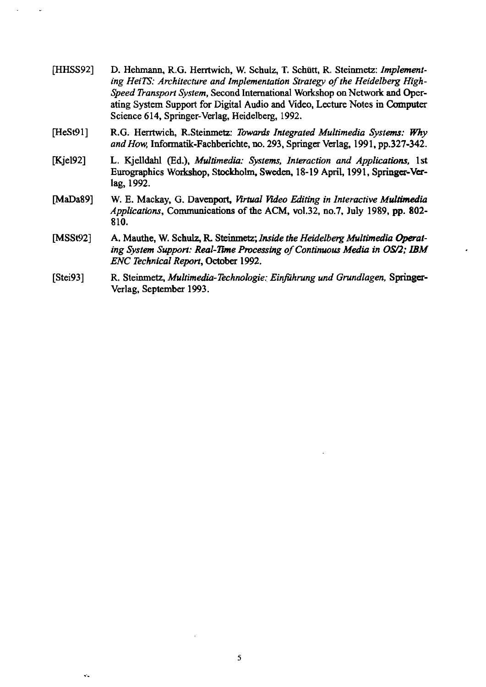| [HHSS92]     | D. Hehmann, R.G. Herrtwich, W. Schulz, T. Schütt, R. Steinmetz: Implement-<br>ing HeiTS: Architecture and Implementation Strategy of the Heidelberg High-<br>Speed Transport System, Second International Workshop on Network and Oper-<br>ating System Support for Digital Audio and Video, Lecture Notes in Computer<br>Science 614, Springer-Verlag, Heidelberg, 1992. |
|--------------|---------------------------------------------------------------------------------------------------------------------------------------------------------------------------------------------------------------------------------------------------------------------------------------------------------------------------------------------------------------------------|
| [HeSt91]     | R.G. Herrtwich, R.Steinmetz: Towards Integrated Multimedia Systems: Why<br>and How, Informatik-Fachberichte, no. 293, Springer Verlag, 1991, pp.327-342.                                                                                                                                                                                                                  |
| Kjel92]      | L. Kjelldahl (Ed.), Multimedia: Systems, Interaction and Applications, 1st<br>Eurographics Workshop, Stockholm, Sweden, 18-19 April, 1991, Springer-Ver-<br>lag, 1992.                                                                                                                                                                                                    |
| [MaDa89]     | W. E. Mackay, G. Davenport, Virtual Video Editing in Interactive Multimedia<br>Applications, Communications of the ACM, vol.32, no.7, July 1989, pp. 802-<br>810.                                                                                                                                                                                                         |
| [ $MSSt92$ ] | A. Mauthe, W. Schulz, R. Steinmetz; Inside the Heidelberg Multimedia Operat-<br>ing System Support: Real-Time Processing of Continuous Media in OS/2; IBM<br>ENC Technical Report, October 1992.                                                                                                                                                                          |
| [Stei93]     | R. Steinmetz, Multimedia-Technologie: Einführung und Grundlagen, Springer-<br>Verlag, September 1993.                                                                                                                                                                                                                                                                     |

 $\mathcal{A}^{\mathcal{A}}$ 

 $\hat{\mathbf{v}}_t$ 

 $\overline{\mathbf{5}}$ 

 $\mathcal{L}$ 

 $\downarrow$